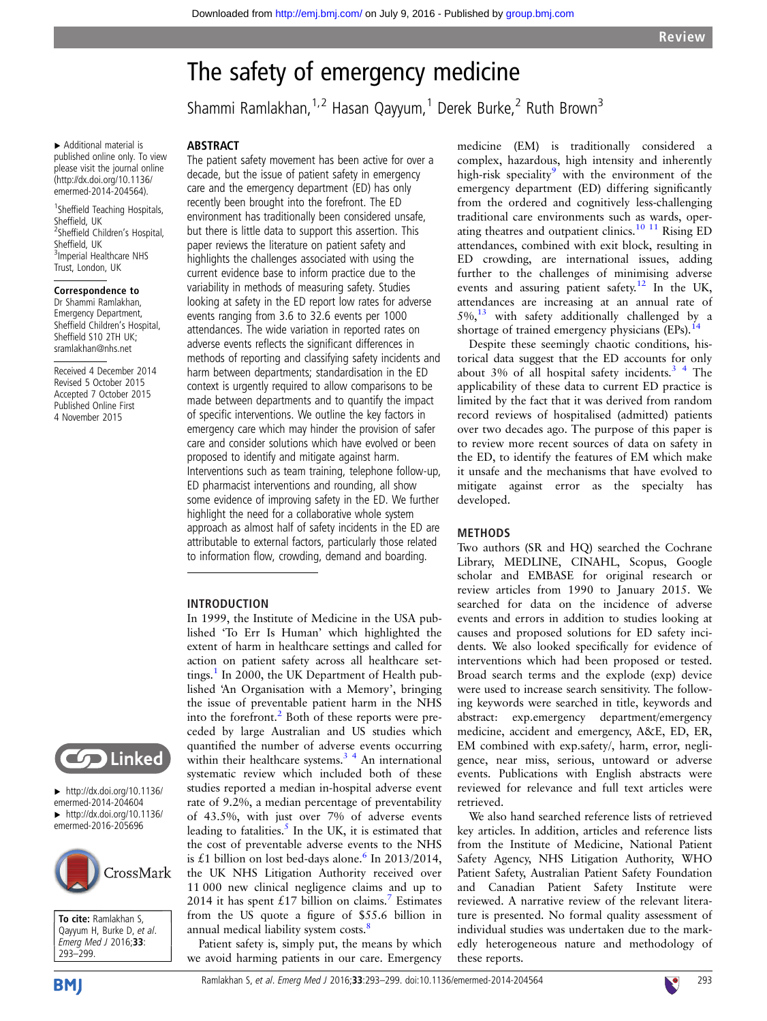# The safety of emergency medicine

Shammi Ramlakhan,  $1.2$  Hasan Qayyum,  $1$  Derek Burke,  $2$  Ruth Brown $3$ 

#### ▸ Additional material is published online only. To view please visit the journal online [\(http://dx.doi.org/10.1136/](http://dx.doi.org/10.1136/emermed-2014-204564) [emermed-2014-204564](http://dx.doi.org/10.1136/emermed-2014-204564)).

1 Sheffield Teaching Hospitals, Sheffield, UK <sup>2</sup> Sheffield Children's Hospital, Sheffield, UK <sup>3</sup>Imperial Healthcare NHS Trust, London, UK

#### Correspondence to

Dr Shammi Ramlakhan, Emergency Department, Sheffield Children's Hospital, Sheffield S10 2TH UK; sramlakhan@nhs.net

Received 4 December 2014 Revised 5 October 2015 Accepted 7 October 2015 Published Online First 4 November 2015

# **CO** Linked

 $\blacktriangleright$  [http://dx.doi.org/10.1136/](http://dx.doi.org/10.1136/emermed-2014-204604) [emermed-2014-204604](http://dx.doi.org/10.1136/emermed-2014-204604)  $\blacktriangleright$  [http://dx.doi.org/10.1136/](http://dx.doi.org/10.1136/emermed-2016-205696) [emermed-2016-205696](http://dx.doi.org/10.1136/emermed-2016-205696)



To cite: Ramlakhan S, Qayyum H, Burke D, et al. Emerg Med J 2016;33: 293–299.

ABSTRACT

The patient safety movement has been active for over a decade, but the issue of patient safety in emergency care and the emergency department (ED) has only recently been brought into the forefront. The ED environment has traditionally been considered unsafe, but there is little data to support this assertion. This paper reviews the literature on patient safety and highlights the challenges associated with using the current evidence base to inform practice due to the variability in methods of measuring safety. Studies looking at safety in the ED report low rates for adverse events ranging from 3.6 to 32.6 events per 1000 attendances. The wide variation in reported rates on adverse events reflects the significant differences in methods of reporting and classifying safety incidents and harm between departments; standardisation in the ED context is urgently required to allow comparisons to be made between departments and to quantify the impact of specific interventions. We outline the key factors in emergency care which may hinder the provision of safer care and consider solutions which have evolved or been proposed to identify and mitigate against harm. Interventions such as team training, telephone follow-up, ED pharmacist interventions and rounding, all show some evidence of improving safety in the ED. We further highlight the need for a collaborative whole system approach as almost half of safety incidents in the ED are attributable to external factors, particularly those related to information flow, crowding, demand and boarding.

## INTRODUCTION

In 1999, the Institute of Medicine in the USA published 'To Err Is Human' which highlighted the extent of harm in healthcare settings and called for action on patient safety across all healthcare settings. $<sup>1</sup>$  $<sup>1</sup>$  $<sup>1</sup>$  In 2000, the UK Department of Health pub-</sup> lished 'An Organisation with a Memory', bringing the issue of preventable patient harm in the NHS into the forefront.<sup>[2](#page-5-0)</sup> Both of these reports were preceded by large Australian and US studies which quantified the number of adverse events occurring within their healthcare systems.<sup>3</sup> <sup>4</sup> An international systematic review which included both of these studies reported a median in-hospital adverse event rate of 9.2%, a median percentage of preventability of 43.5%, with just over 7% of adverse events leading to fatalities.<sup>[5](#page-5-0)</sup> In the UK, it is estimated that the cost of preventable adverse events to the NHS is £1 billion on lost bed-days alone.<sup>6</sup> In 2013/2014, the UK NHS Litigation Authority received over 11 000 new clinical negligence claims and up to 2014 it has spent £1[7](#page-5-0) billion on claims. $\prime$  Estimates from the US quote a figure of \$55.6 billion in annual medical liability system costs.<sup>[8](#page-5-0)</sup>

Patient safety is, simply put, the means by which we avoid harming patients in our care. Emergency

medicine (EM) is traditionally considered a complex, hazardous, high intensity and inherently high-risk speciality<sup>[9](#page-5-0)</sup> with the environment of the emergency department (ED) differing significantly from the ordered and cognitively less-challenging traditional care environments such as wards, oper-ating theatres and outpatient clinics.<sup>[10 11](#page-5-0)</sup> Rising  $ED$ attendances, combined with exit block, resulting in ED crowding, are international issues, adding further to the challenges of minimising adverse events and assuring patient safety.<sup>[12](#page-5-0)</sup> In the UK, attendances are increasing at an annual rate of  $5\%$ ,<sup>[13](#page-5-0)</sup> with safety additionally challenged by a shortage of trained emergency physicians  $(EPs).<sup>14</sup>$  $(EPs).<sup>14</sup>$  $(EPs).<sup>14</sup>$ 

Despite these seemingly chaotic conditions, historical data suggest that the ED accounts for only about 3% of all hospital safety incidents. $3<sup>4</sup>$  The applicability of these data to current ED practice is limited by the fact that it was derived from random record reviews of hospitalised (admitted) patients over two decades ago. The purpose of this paper is to review more recent sources of data on safety in the ED, to identify the features of EM which make it unsafe and the mechanisms that have evolved to mitigate against error as the specialty has developed.

#### METHODS

Two authors (SR and HQ) searched the Cochrane Library, MEDLINE, CINAHL, Scopus, Google scholar and EMBASE for original research or review articles from 1990 to January 2015. We searched for data on the incidence of adverse events and errors in addition to studies looking at causes and proposed solutions for ED safety incidents. We also looked specifically for evidence of interventions which had been proposed or tested. Broad search terms and the explode (exp) device were used to increase search sensitivity. The following keywords were searched in title, keywords and abstract: exp.emergency department/emergency medicine, accident and emergency, A&E, ED, ER, EM combined with exp.safety/, harm, error, negligence, near miss, serious, untoward or adverse events. Publications with English abstracts were reviewed for relevance and full text articles were retrieved.

We also hand searched reference lists of retrieved key articles. In addition, articles and reference lists from the Institute of Medicine, National Patient Safety Agency, NHS Litigation Authority, WHO Patient Safety, Australian Patient Safety Foundation and Canadian Patient Safety Institute were reviewed. A narrative review of the relevant literature is presented. No formal quality assessment of individual studies was undertaken due to the markedly heterogeneous nature and methodology of these reports.

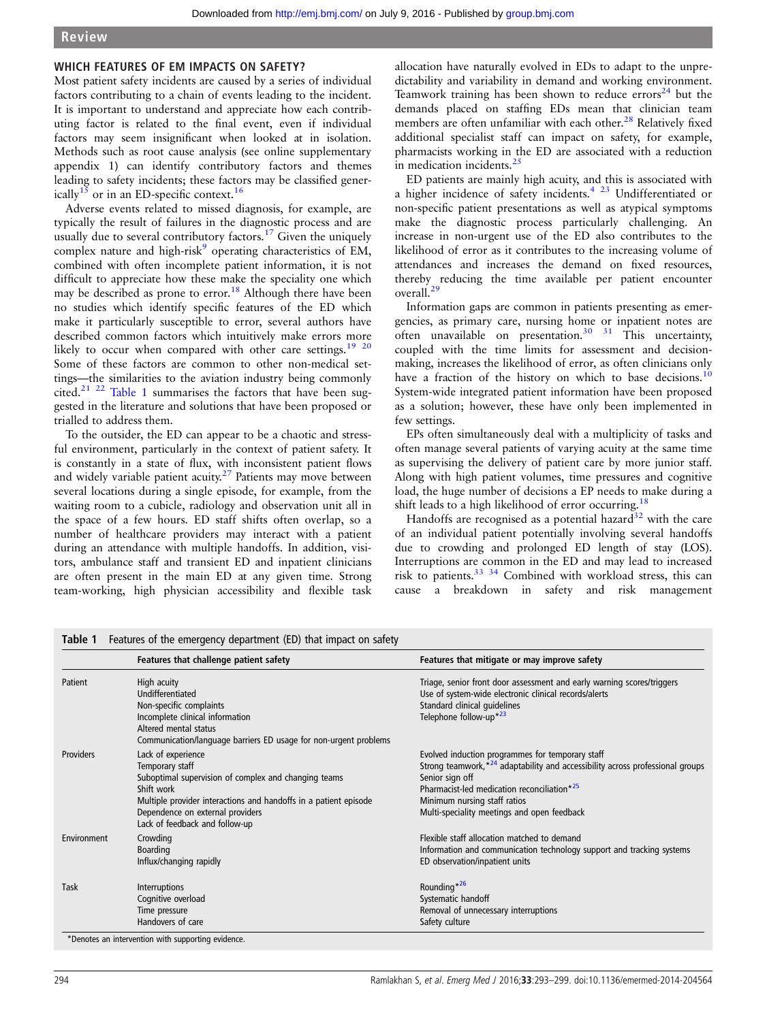## <span id="page-1-0"></span>Review

### WHICH FEATURES OF EM IMPACTS ON SAFETY?

Most patient safety incidents are caused by a series of individual factors contributing to a chain of events leading to the incident. It is important to understand and appreciate how each contributing factor is related to the final event, even if individual factors may seem insignificant when looked at in isolation. Methods such as root cause analysis (see online supplementary appendix 1) can identify contributory factors and themes leading to safety incidents; these factors may be classified gener-ically<sup>[15](#page-5-0)</sup> or in an ED-specific context.<sup>[16](#page-5-0)</sup>

Adverse events related to missed diagnosis, for example, are typically the result of failures in the diagnostic process and are usually due to several contributory factors.<sup>[17](#page-5-0)</sup> Given the uniquely complex nature and high-risk $9$  operating characteristics of EM, combined with often incomplete patient information, it is not difficult to appreciate how these make the speciality one which may be described as prone to error.<sup>[18](#page-5-0)</sup> Although there have been no studies which identify specific features of the ED which make it particularly susceptible to error, several authors have described common factors which intuitively make errors more likely to occur when compared with other care settings.<sup>19</sup> <sup>20</sup> Some of these factors are common to other non-medical settings—the similarities to the aviation industry being commonly cited.<sup>[21 22](#page-5-0)</sup> Table 1 summarises the factors that have been suggested in the literature and solutions that have been proposed or trialled to address them.

To the outsider, the ED can appear to be a chaotic and stressful environment, particularly in the context of patient safety. It is constantly in a state of flux, with inconsistent patient flows and widely variable patient acuity. $27$  Patients may move between several locations during a single episode, for example, from the waiting room to a cubicle, radiology and observation unit all in the space of a few hours. ED staff shifts often overlap, so a number of healthcare providers may interact with a patient during an attendance with multiple handoffs. In addition, visitors, ambulance staff and transient ED and inpatient clinicians are often present in the main ED at any given time. Strong team-working, high physician accessibility and flexible task

allocation have naturally evolved in EDs to adapt to the unpredictability and variability in demand and working environment. Teamwork training has been shown to reduce  $\text{errors}^{24}$  $\text{errors}^{24}$  $\text{errors}^{24}$  but the demands placed on staffing EDs mean that clinician team members are often unfamiliar with each other.<sup>[28](#page-6-0)</sup> Relatively fixed additional specialist staff can impact on safety, for example, pharmacists working in the ED are associated with a reduction in medication incidents.<sup>[25](#page-6-0)</sup>

ED patients are mainly high acuity, and this is associated with a higher incidence of safety incidents.<sup>[4 23](#page-5-0)</sup> Undifferentiated or non-specific patient presentations as well as atypical symptoms make the diagnostic process particularly challenging. An increase in non-urgent use of the ED also contributes to the likelihood of error as it contributes to the increasing volume of attendances and increases the demand on fixed resources, thereby reducing the time available per patient encounter overall.<sup>29</sup>

Information gaps are common in patients presenting as emergencies, as primary care, nursing home or inpatient notes are often unavailable on presentation.[30 31](#page-6-0) This uncertainty, coupled with the time limits for assessment and decisionmaking, increases the likelihood of error, as often clinicians only have a fraction of the history on which to base decisions.<sup>[10](#page-5-0)</sup> System-wide integrated patient information have been proposed as a solution; however, these have only been implemented in few settings.

EPs often simultaneously deal with a multiplicity of tasks and often manage several patients of varying acuity at the same time as supervising the delivery of patient care by more junior staff. Along with high patient volumes, time pressures and cognitive load, the huge number of decisions a EP needs to make during a shift leads to a high likelihood of error occurring.<sup>[18](#page-5-0)</sup>

Handoffs are recognised as a potential hazard $32$  with the care of an individual patient potentially involving several handoffs due to crowding and prolonged ED length of stay (LOS). Interruptions are common in the ED and may lead to increased risk to patients.[33 34](#page-6-0) Combined with workload stress, this can cause a breakdown in safety and risk management

|                  | Features that challenge patient safety                                                                                                                                                                                                                | Features that mitigate or may improve safety                                                                                                                                                                                                                                             |
|------------------|-------------------------------------------------------------------------------------------------------------------------------------------------------------------------------------------------------------------------------------------------------|------------------------------------------------------------------------------------------------------------------------------------------------------------------------------------------------------------------------------------------------------------------------------------------|
| Patient          | High acuity<br>Undifferentiated<br>Non-specific complaints<br>Incomplete clinical information<br>Altered mental status<br>Communication/language barriers ED usage for non-urgent problems                                                            | Triage, senior front door assessment and early warning scores/triggers<br>Use of system-wide electronic clinical records/alerts<br>Standard clinical quidelines<br>Telephone follow-up*23                                                                                                |
| <b>Providers</b> | Lack of experience<br>Temporary staff<br>Suboptimal supervision of complex and changing teams<br>Shift work<br>Multiple provider interactions and handoffs in a patient episode<br>Dependence on external providers<br>Lack of feedback and follow-up | Evolved induction programmes for temporary staff<br>Strong teamwork, $x^{24}$ adaptability and accessibility across professional groups<br>Senior sign off<br>Pharmacist-led medication reconciliation*25<br>Minimum nursing staff ratios<br>Multi-speciality meetings and open feedback |
| Environment      | Crowding<br><b>Boarding</b><br>Influx/changing rapidly                                                                                                                                                                                                | Flexible staff allocation matched to demand<br>Information and communication technology support and tracking systems<br>ED observation/inpatient units                                                                                                                                   |
| Task             | Interruptions<br>Cognitive overload<br>Time pressure<br>Handovers of care                                                                                                                                                                             | Rounding <sup>*26</sup><br>Systematic handoff<br>Removal of unnecessary interruptions<br>Safety culture                                                                                                                                                                                  |

Table 1 Features of the emergency department (ED) that impact on safety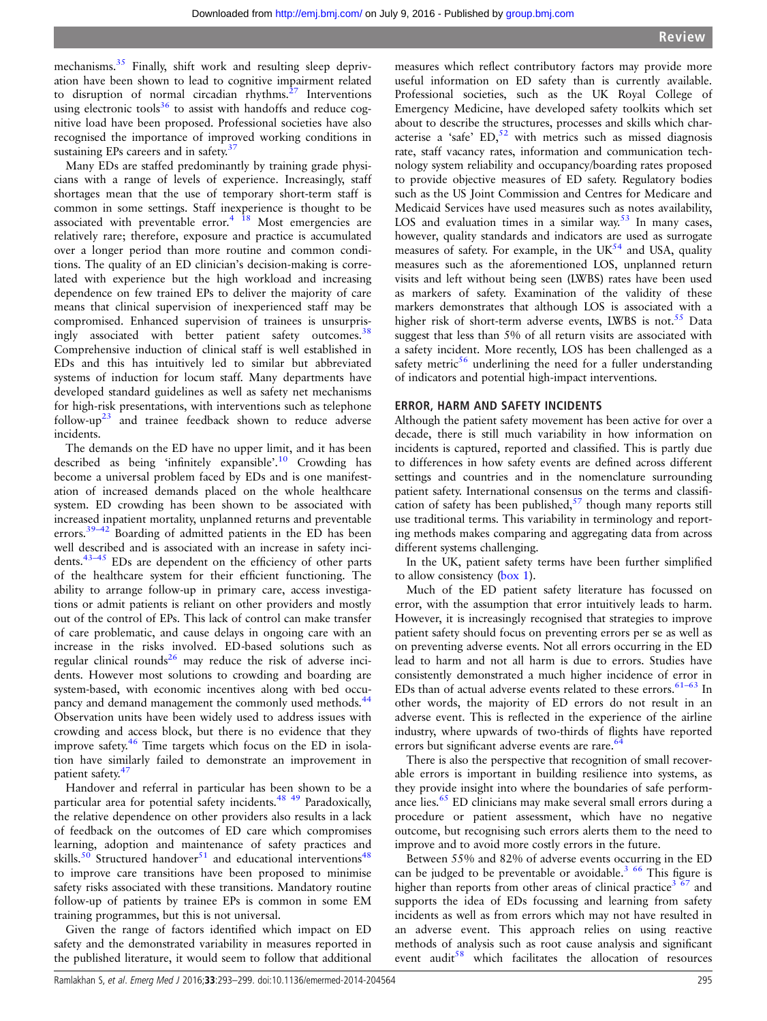mechanisms.<sup>35</sup> Finally, shift work and resulting sleep deprivation have been shown to lead to cognitive impairment related to disruption of normal circadian rhythms. $27$  Interventions using electronic tools $36$  to assist with handoffs and reduce cognitive load have been proposed. Professional societies have also recognised the importance of improved working conditions in sustaining EPs careers and in safety.<sup>37</sup>

Many EDs are staffed predominantly by training grade physicians with a range of levels of experience. Increasingly, staff shortages mean that the use of temporary short-term staff is common in some settings. Staff inexperience is thought to be associated with preventable error. $4\overline{18}$  Most emergencies are relatively rare; therefore, exposure and practice is accumulated over a longer period than more routine and common conditions. The quality of an ED clinician's decision-making is correlated with experience but the high workload and increasing dependence on few trained EPs to deliver the majority of care means that clinical supervision of inexperienced staff may be compromised. Enhanced supervision of trainees is unsurprisingly associated with better patient safety outcomes.<sup>38</sup> Comprehensive induction of clinical staff is well established in EDs and this has intuitively led to similar but abbreviated systems of induction for locum staff. Many departments have developed standard guidelines as well as safety net mechanisms for high-risk presentations, with interventions such as telephone follow-up[23](#page-5-0) and trainee feedback shown to reduce adverse incidents.

The demands on the ED have no upper limit, and it has been described as being 'infinitely expansible'. [10](#page-5-0) Crowding has become a universal problem faced by EDs and is one manifestation of increased demands placed on the whole healthcare system. ED crowding has been shown to be associated with increased inpatient mortality, unplanned returns and preventable errors. $39-42$  $39-42$  Boarding of admitted patients in the ED has been well described and is associated with an increase in safety incidents. $43-45$  $43-45$  EDs are dependent on the efficiency of other parts of the healthcare system for their efficient functioning. The ability to arrange follow-up in primary care, access investigations or admit patients is reliant on other providers and mostly out of the control of EPs. This lack of control can make transfer of care problematic, and cause delays in ongoing care with an increase in the risks involved. ED-based solutions such as regular clinical rounds<sup>26</sup> may reduce the risk of adverse incidents. However most solutions to crowding and boarding are system-based, with economic incentives along with bed occu-pancy and demand management the commonly used methods.<sup>[44](#page-6-0)</sup> Observation units have been widely used to address issues with crowding and access block, but there is no evidence that they improve safety.[46](#page-6-0) Time targets which focus on the ED in isolation have similarly failed to demonstrate an improvement in patient safety.<sup>[47](#page-6-0)</sup>

Handover and referral in particular has been shown to be a particular area for potential safety incidents.<sup>48 49</sup> Paradoxically, the relative dependence on other providers also results in a lack of feedback on the outcomes of ED care which compromises learning, adoption and maintenance of safety practices and skills.<sup>[50](#page-6-0)</sup> Structured handover<sup>[51](#page-6-0)</sup> and educational interventions<sup>48</sup> to improve care transitions have been proposed to minimise safety risks associated with these transitions. Mandatory routine follow-up of patients by trainee EPs is common in some EM training programmes, but this is not universal.

Given the range of factors identified which impact on ED safety and the demonstrated variability in measures reported in the published literature, it would seem to follow that additional

measures which reflect contributory factors may provide more useful information on ED safety than is currently available. Professional societies, such as the UK Royal College of Emergency Medicine, have developed safety toolkits which set about to describe the structures, processes and skills which characterise a 'safe'  $ED<sub>2</sub><sup>52</sup>$  $ED<sub>2</sub><sup>52</sup>$  $ED<sub>2</sub><sup>52</sup>$  with metrics such as missed diagnosis rate, staff vacancy rates, information and communication technology system reliability and occupancy/boarding rates proposed to provide objective measures of ED safety. Regulatory bodies such as the US Joint Commission and Centres for Medicare and Medicaid Services have used measures such as notes availability, LOS and evaluation times in a similar way. $53$  In many cases, however, quality standards and indicators are used as surrogate measures of safety. For example, in the  $UK<sup>54</sup>$  $UK<sup>54</sup>$  $UK<sup>54</sup>$  and USA, quality measures such as the aforementioned LOS, unplanned return visits and left without being seen (LWBS) rates have been used as markers of safety. Examination of the validity of these markers demonstrates that although LOS is associated with a higher risk of short-term adverse events, LWBS is not.<sup>[55](#page-6-0)</sup> Data suggest that less than 5% of all return visits are associated with a safety incident. More recently, LOS has been challenged as a safety metric<sup>[56](#page-6-0)</sup> underlining the need for a fuller understanding of indicators and potential high-impact interventions.

#### ERROR, HARM AND SAFETY INCIDENTS

Although the patient safety movement has been active for over a decade, there is still much variability in how information on incidents is captured, reported and classified. This is partly due to differences in how safety events are defined across different settings and countries and in the nomenclature surrounding patient safety. International consensus on the terms and classification of safety has been published, $57$  though many reports still use traditional terms. This variability in terminology and reporting methods makes comparing and aggregating data from across different systems challenging.

In the UK, patient safety terms have been further simplified to allow consistency [\(box 1](#page-3-0)).

Much of the ED patient safety literature has focussed on error, with the assumption that error intuitively leads to harm. However, it is increasingly recognised that strategies to improve patient safety should focus on preventing errors per se as well as on preventing adverse events. Not all errors occurring in the ED lead to harm and not all harm is due to errors. Studies have consistently demonstrated a much higher incidence of error in EDs than of actual adverse events related to these errors. $61-63$  In other words, the majority of ED errors do not result in an adverse event. This is reflected in the experience of the airline industry, where upwards of two-thirds of flights have reported errors but significant adverse events are rare.<sup>6</sup>

There is also the perspective that recognition of small recoverable errors is important in building resilience into systems, as they provide insight into where the boundaries of safe performance lies.<sup>65</sup> ED clinicians may make several small errors during a procedure or patient assessment, which have no negative outcome, but recognising such errors alerts them to the need to improve and to avoid more costly errors in the future.

Between 55% and 82% of adverse events occurring in the ED can be judged to be preventable or avoidable.<sup>[3](#page-5-0) [66](#page-6-0)</sup> This figure is higher than reports from other areas of clinical practice<sup>[3](#page-5-0) [67](#page-6-0)</sup> and supports the idea of EDs focussing and learning from safety incidents as well as from errors which may not have resulted in an adverse event. This approach relies on using reactive methods of analysis such as root cause analysis and significant event audit<sup>[58](#page-6-0)</sup> which facilitates the allocation of resources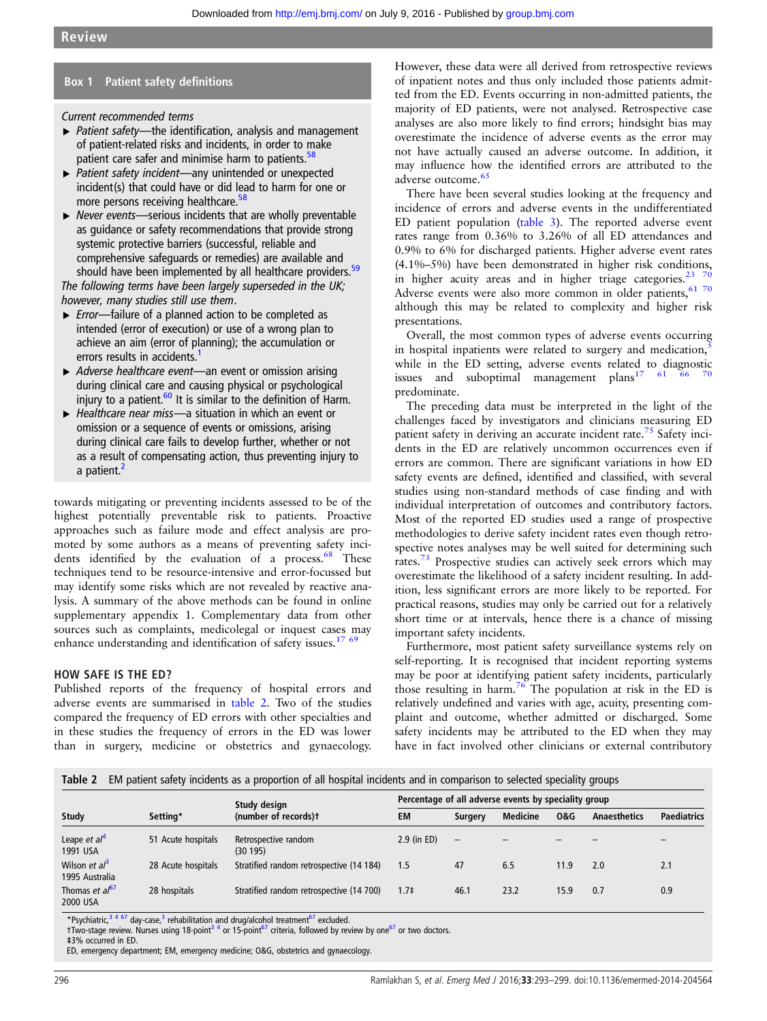# <span id="page-3-0"></span>Box 1 Patient safety definitions

Current recommended terms

- ▶ Patient safety-the identification, analysis and management of patient-related risks and incidents, in order to make patient care safer and minimise harm to patients.<sup>[58](#page-6-0)</sup>
- ▸ Patient safety incident—any unintended or unexpected incident(s) that could have or did lead to harm for one or more persons receiving healthcare.<sup>[58](#page-6-0)</sup>
- ▶ Never events—serious incidents that are wholly preventable as guidance or safety recommendations that provide strong systemic protective barriers (successful, reliable and comprehensive safeguards or remedies) are available and should have been implemented by all healthcare providers.<sup>[59](#page-6-0)</sup> The following terms have been largely superseded in the UK;

however, many studies still use them.

- ▶ Error—failure of a planned action to be completed as intended (error of execution) or use of a wrong plan to achieve an aim (error of planning); the accumulation or errors results in accidents.<sup>[1](#page-5-0)</sup>
- ▶ Adverse healthcare event—an event or omission arising during clinical care and causing physical or psychological injury to a patient.<sup>[60](#page-6-0)</sup> It is similar to the definition of Harm.
- ▸ Healthcare near miss—a situation in which an event or omission or a sequence of events or omissions, arising during clinical care fails to develop further, whether or not as a result of compensating action, thus preventing injury to a patient.<sup>[2](#page-5-0)</sup>

towards mitigating or preventing incidents assessed to be of the highest potentially preventable risk to patients. Proactive approaches such as failure mode and effect analysis are promoted by some authors as a means of preventing safety incidents identified by the evaluation of a process. $68$  These techniques tend to be resource-intensive and error-focussed but may identify some risks which are not revealed by reactive analysis. A summary of the above methods can be found in online supplementary appendix 1. Complementary data from other sources such as complaints, medicolegal or inquest cases may enhance understanding and identification of safety issues.<sup>[17](#page-5-0) [69](#page-6-0)</sup>

### HOW SAFE IS THE ED?

Published reports of the frequency of hospital errors and adverse events are summarised in table 2. Two of the studies compared the frequency of ED errors with other specialties and in these studies the frequency of errors in the ED was lower than in surgery, medicine or obstetrics and gynaecology.

However, these data were all derived from retrospective reviews of inpatient notes and thus only included those patients admitted from the ED. Events occurring in non-admitted patients, the majority of ED patients, were not analysed. Retrospective case analyses are also more likely to find errors; hindsight bias may overestimate the incidence of adverse events as the error may not have actually caused an adverse outcome. In addition, it may influence how the identified errors are attributed to the adverse outcome.<sup>[65](#page-6-0)</sup>

There have been several studies looking at the frequency and incidence of errors and adverse events in the undifferentiated ED patient population [\(table 3](#page-4-0)). The reported adverse event rates range from 0.36% to 3.26% of all ED attendances and 0.9% to 6% for discharged patients. Higher adverse event rates (4.1%–5%) have been demonstrated in higher risk conditions, in higher acuity areas and in higher triage categories.<sup>[23](#page-5-0)</sup> [70](#page-6-0) Adverse events were also more common in older patients,  $6170$ although this may be related to complexity and higher risk presentations.

Overall, the most common types of adverse events occurring in hospital inpatients were related to surgery and medication,<sup>[5](#page-5-0)</sup> while in the ED setting, adverse events related to diagnostic issues and suboptimal management plans<sup>[17](#page-5-0) 61 66</sup> <sup>70</sup> predominate.

The preceding data must be interpreted in the light of the challenges faced by investigators and clinicians measuring ED patient safety in deriving an accurate incident rate.<sup>[75](#page-6-0)</sup> Safety incidents in the ED are relatively uncommon occurrences even if errors are common. There are significant variations in how ED safety events are defined, identified and classified, with several studies using non-standard methods of case finding and with individual interpretation of outcomes and contributory factors. Most of the reported ED studies used a range of prospective methodologies to derive safety incident rates even though retrospective notes analyses may be well suited for determining such rates.<sup>[73](#page-6-0)</sup> Prospective studies can actively seek errors which may overestimate the likelihood of a safety incident resulting. In addition, less significant errors are more likely to be reported. For practical reasons, studies may only be carried out for a relatively short time or at intervals, hence there is a chance of missing important safety incidents.

Furthermore, most patient safety surveillance systems rely on self-reporting. It is recognised that incident reporting systems may be poor at identifying patient safety incidents, particularly those resulting in harm.<sup>[76](#page-6-0)</sup> The population at risk in the ED is relatively undefined and varies with age, acuity, presenting complaint and outcome, whether admitted or discharged. Some safety incidents may be attributed to the ED when they may have in fact involved other clinicians or external contributory

|  |  |  | Table 2 EM patient safety incidents as a proportion of all hospital incidents and in comparison to selected speciality groups |
|--|--|--|-------------------------------------------------------------------------------------------------------------------------------|
|  |  |  |                                                                                                                               |

| .<br>Fin banchi banch melacile as a biobordon of an hospital melaciles and in companison to sciected speciality groups |                    |                                          |                                                      |         |          |                |                     |                    |
|------------------------------------------------------------------------------------------------------------------------|--------------------|------------------------------------------|------------------------------------------------------|---------|----------|----------------|---------------------|--------------------|
| Study                                                                                                                  | Setting*           | Study design<br>(number of records)t     | Percentage of all adverse events by speciality group |         |          |                |                     |                    |
|                                                                                                                        |                    |                                          | <b>EM</b>                                            | Surgery | Medicine | <b>0&amp;G</b> | <b>Anaesthetics</b> | <b>Paediatrics</b> |
| Leape et $al4$<br>1991 USA                                                                                             | 51 Acute hospitals | Retrospective random<br>(30195)          | $2.9$ (in ED)                                        |         |          |                |                     |                    |
| Wilson et al <sup>3</sup><br>1995 Australia                                                                            | 28 Acute hospitals | Stratified random retrospective (14 184) | 1.5                                                  | 47      | 6.5      | 11.9           | 2.0                 | 2.1                |
| Thomas et al <sup>67</sup><br>2000 USA                                                                                 | 28 hospitals       | Stratified random retrospective (14 700) | 1.7 <sup>‡</sup>                                     | 46.1    | 23.2     | 15.9           | 0.7                 | 0.9                |

\*Psychiatric,<sup>[3](#page-5-0)4[67](#page-6-0)</sup> day-case,<sup>3</sup> rehabilitation and drug/alcohol treatment<sup>67</sup> excluded.<br>†Two-stage review. Nurses using 18-point<sup>34</sup> or 15-point<sup>67</sup> criteria, followed by review by one<sup>67</sup> or two doctors.

‡3% occurred in ED.

ED, emergency department; EM, emergency medicine; O&G, obstetrics and gynaecology.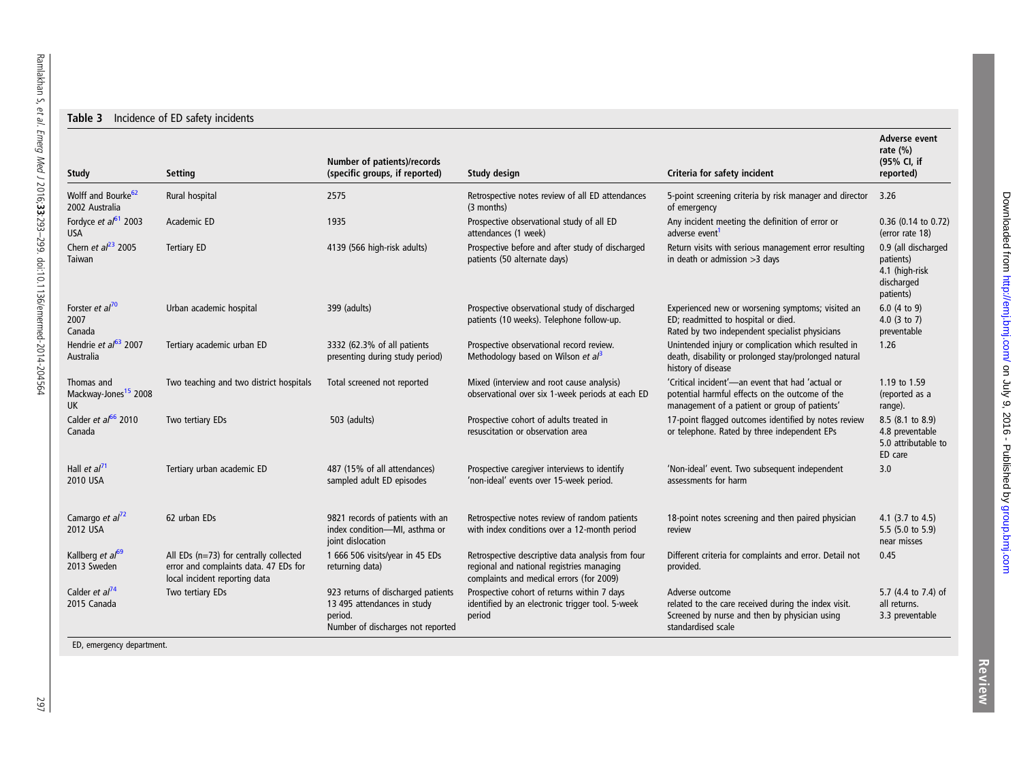#### <span id="page-4-0"></span>Table 3 Incidence of ED safety incidents

| Study                                                | <b>Setting</b>                                                                                                       | Number of patients)/records<br>(specific groups, if reported)                                                     | <b>Study design</b>                                                                                                                        | Criteria for safety incident                                                                                                                         | <b>Adverse event</b><br>rate $(\%)$<br>(95% CI, if<br>reported)               |
|------------------------------------------------------|----------------------------------------------------------------------------------------------------------------------|-------------------------------------------------------------------------------------------------------------------|--------------------------------------------------------------------------------------------------------------------------------------------|------------------------------------------------------------------------------------------------------------------------------------------------------|-------------------------------------------------------------------------------|
| Wolff and Bourke <sup>62</sup><br>2002 Australia     | Rural hospital                                                                                                       | 2575                                                                                                              | Retrospective notes review of all ED attendances<br>(3 months)                                                                             | 5-point screening criteria by risk manager and director<br>of emergency                                                                              | 3.26                                                                          |
| Fordyce et al <sup>61</sup> 2003<br><b>USA</b>       | Academic ED                                                                                                          | 1935                                                                                                              | Prospective observational study of all ED<br>attendances (1 week)                                                                          | Any incident meeting the definition of error or<br>adverse event <sup>1</sup>                                                                        | 0.36 (0.14 to 0.72)<br>(error rate 18)                                        |
| Chern et $al23$ 2005<br>Taiwan                       | <b>Tertiary ED</b>                                                                                                   | 4139 (566 high-risk adults)                                                                                       | Prospective before and after study of discharged<br>patients (50 alternate days)                                                           | Return visits with serious management error resulting<br>in death or admission $>3$ days                                                             | 0.9 (all discharged<br>patients)<br>4.1 (high-risk<br>discharged<br>patients) |
| Forster et al <sup>70</sup><br>2007<br>Canada        | Urban academic hospital                                                                                              | 399 (adults)                                                                                                      | Prospective observational study of discharged<br>patients (10 weeks). Telephone follow-up.                                                 | Experienced new or worsening symptoms; visited an<br>ED; readmitted to hospital or died.<br>Rated by two independent specialist physicians           | $6.0$ (4 to 9)<br>4.0 $(3 to 7)$<br>preventable                               |
| Hendrie et $a/63$ 2007<br>Australia                  | Tertiary academic urban ED                                                                                           | 3332 (62.3% of all patients<br>presenting during study period)                                                    | Prospective observational record review.<br>Methodology based on Wilson et $al^3$                                                          | Unintended injury or complication which resulted in<br>death, disability or prolonged stay/prolonged natural<br>history of disease                   | 1.26                                                                          |
| Thomas and<br>Mackway-Jones <sup>15</sup> 2008<br>UK | Two teaching and two district hospitals                                                                              | Total screened not reported                                                                                       | Mixed (interview and root cause analysis)<br>observational over six 1-week periods at each ED                                              | 'Critical incident'-an event that had 'actual or<br>potential harmful effects on the outcome of the<br>management of a patient or group of patients' | 1.19 to 1.59<br>(reported as a<br>range).                                     |
| Calder et $a/66$ 2010<br>Canada                      | Two tertiary EDs                                                                                                     | 503 (adults)                                                                                                      | Prospective cohort of adults treated in<br>resuscitation or observation area                                                               | 17-point flagged outcomes identified by notes review<br>or telephone. Rated by three independent EPs                                                 | 8.5 (8.1 to 8.9)<br>4.8 preventable<br>5.0 attributable to<br>ED care         |
| Hall et $al^{71}$<br>2010 USA                        | Tertiary urban academic ED                                                                                           | 487 (15% of all attendances)<br>sampled adult ED episodes                                                         | Prospective caregiver interviews to identify<br>'non-ideal' events over 15-week period.                                                    | 'Non-ideal' event. Two subsequent independent<br>assessments for harm                                                                                | 3.0                                                                           |
| Camargo et al <sup>72</sup><br>2012 USA              | 62 urban EDs                                                                                                         | 9821 records of patients with an<br>index condition-MI, asthma or<br>joint dislocation                            | Retrospective notes review of random patients<br>with index conditions over a 12-month period                                              | 18-point notes screening and then paired physician<br>review                                                                                         | 4.1 (3.7 to 4.5)<br>5.5 (5.0 to 5.9)<br>near misses                           |
| Kallberg et al <sup>69</sup><br>2013 Sweden          | All EDs ( $n=73$ ) for centrally collected<br>error and complaints data. 47 EDs for<br>local incident reporting data | 1 666 506 visits/year in 45 EDs<br>returning data)                                                                | Retrospective descriptive data analysis from four<br>regional and national registries managing<br>complaints and medical errors (for 2009) | Different criteria for complaints and error. Detail not<br>provided.                                                                                 | 0.45                                                                          |
| Calder et $al^{74}$<br>2015 Canada                   | Two tertiary EDs                                                                                                     | 923 returns of discharged patients<br>13 495 attendances in study<br>period.<br>Number of discharges not reported | Prospective cohort of returns within 7 days<br>identified by an electronic trigger tool. 5-week<br>period                                  | Adverse outcome<br>related to the care received during the index visit.<br>Screened by nurse and then by physician using<br>standardised scale       | 5.7 (4.4 to 7.4) of<br>all returns.<br>3.3 preventable                        |

ED, emergency department.

Downloaded from http://emj.bmj.com/ on July 9, 2016 - Published by group.bmj.com [group.bmj.com](http://group.bmj.com)on July 9, 2016 - Published by group.bmj.com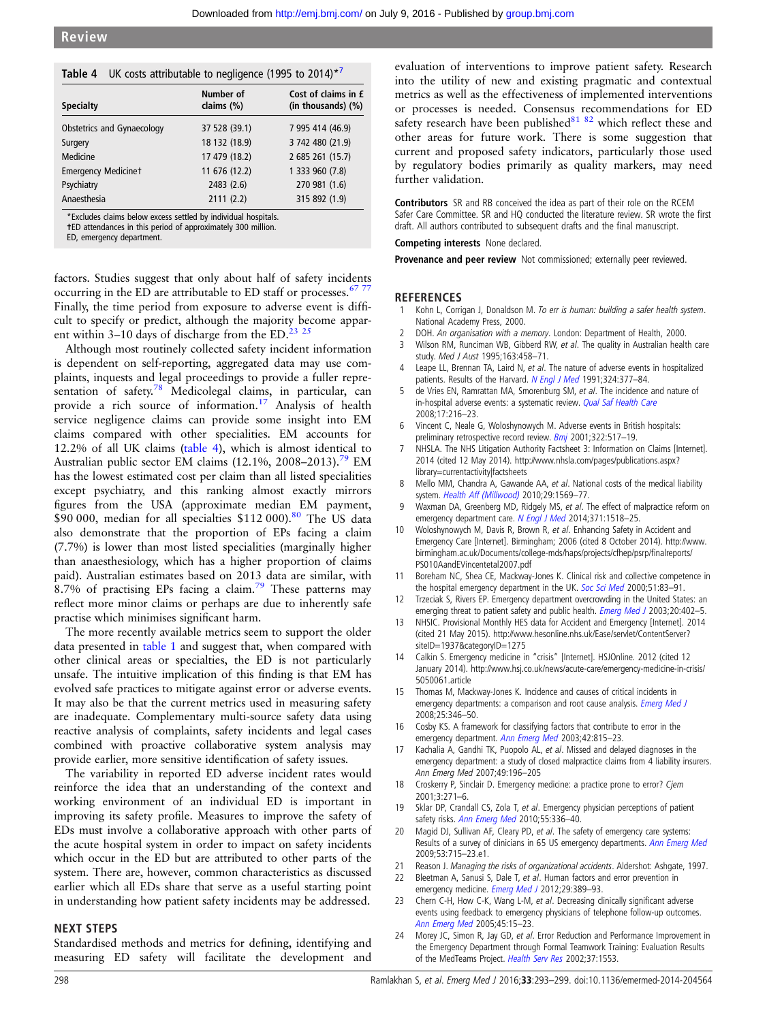#### <span id="page-5-0"></span>Table 4 UK costs attributable to negligence (1995 to 2014) $*^7$

| <b>Specialty</b>           | Number of<br>claims (%) | Cost of claims in £<br>(in thousands) (%) |
|----------------------------|-------------------------|-------------------------------------------|
| Obstetrics and Gynaecology | 37 528 (39.1)           | 7 995 414 (46.9)                          |
| Surgery                    | 18 132 (18.9)           | 3 742 480 (21.9)                          |
| Medicine                   | 17 479 (18.2)           | 2 685 261 (15.7)                          |
| <b>Emergency Medicinet</b> | 11 676 (12.2)           | 1 333 960 (7.8)                           |
| Psychiatry                 | 2483(2.6)               | 270 981 (1.6)                             |
| Anaesthesia                | 2111(2.2)               | 315 892 (1.9)                             |

\*Excludes claims below excess settled by individual hospitals.

†ED attendances in this period of approximately 300 million.

ED, emergency department.

factors. Studies suggest that only about half of safety incidents occurring in the ED are attributable to ED staff or processes.<sup>[67 77](#page-6-0)</sup> Finally, the time period from exposure to adverse event is difficult to specify or predict, although the majority become apparent within 3–10 days of discharge from the ED.<sup>23</sup> <sup>25</sup>

Although most routinely collected safety incident information is dependent on self-reporting, aggregated data may use complaints, inquests and legal proceedings to provide a fuller representation of safety. $78$  Medicolegal claims, in particular, can provide a rich source of information.<sup>17</sup> Analysis of health service negligence claims can provide some insight into EM claims compared with other specialities. EM accounts for 12.2% of all UK claims (table 4), which is almost identical to Australian public sector EM claims  $(12.1\%, 2008-2013).^{79}$  $(12.1\%, 2008-2013).^{79}$  $(12.1\%, 2008-2013).^{79}$  EM has the lowest estimated cost per claim than all listed specialities except psychiatry, and this ranking almost exactly mirrors figures from the USA (approximate median EM payment, \$90 000, median for all specialties  $$112,000$ .<sup>[80](#page-6-0)</sup> The US data also demonstrate that the proportion of EPs facing a claim (7.7%) is lower than most listed specialities (marginally higher than anaesthesiology, which has a higher proportion of claims paid). Australian estimates based on 2013 data are similar, with 8.7% of practising EPs facing a claim.<sup>[79](#page-6-0)</sup> These patterns may reflect more minor claims or perhaps are due to inherently safe practise which minimises significant harm.

The more recently available metrics seem to support the older data presented in [table 1](#page-1-0) and suggest that, when compared with other clinical areas or specialties, the ED is not particularly unsafe. The intuitive implication of this finding is that EM has evolved safe practices to mitigate against error or adverse events. It may also be that the current metrics used in measuring safety are inadequate. Complementary multi-source safety data using reactive analysis of complaints, safety incidents and legal cases combined with proactive collaborative system analysis may provide earlier, more sensitive identification of safety issues.

The variability in reported ED adverse incident rates would reinforce the idea that an understanding of the context and working environment of an individual ED is important in improving its safety profile. Measures to improve the safety of EDs must involve a collaborative approach with other parts of the acute hospital system in order to impact on safety incidents which occur in the ED but are attributed to other parts of the system. There are, however, common characteristics as discussed earlier which all EDs share that serve as a useful starting point in understanding how patient safety incidents may be addressed.

#### NEXT STEPS

Standardised methods and metrics for defining, identifying and measuring ED safety will facilitate the development and

evaluation of interventions to improve patient safety. Research into the utility of new and existing pragmatic and contextual metrics as well as the effectiveness of implemented interventions or processes is needed. Consensus recommendations for ED safety research have been published $8182$  which reflect these and other areas for future work. There is some suggestion that current and proposed safety indicators, particularly those used by regulatory bodies primarily as quality markers, may need further validation.

Contributors SR and RB conceived the idea as part of their role on the RCEM Safer Care Committee. SR and HQ conducted the literature review. SR wrote the first draft. All authors contributed to subsequent drafts and the final manuscript.

Competing interests None declared.

Provenance and peer review Not commissioned; externally peer reviewed.

#### **REFERENCES**

- 1 Kohn L, Corrigan J, Donaldson M. To err is human: building a safer health system. National Academy Press, 2000.
- DOH. An organisation with a memory. London: Department of Health, 2000.
- 3 Wilson RM, Runciman WB, Gibberd RW, et al. The quality in Australian health care study. Med J Aust 1995;163:458–71.
- Leape LL, Brennan TA, Laird N, et al. The nature of adverse events in hospitalized patients. Results of the Harvard. [N Engl J Med](http://dx.doi.org/10.1056/NEJM199102073240605) 1991;324:377-84.
- de Vries EN, Ramrattan MA, Smorenburg SM, et al. The incidence and nature of in-hospital adverse events: a systematic review. [Qual Saf Health Care](http://dx.doi.org/10.1136/qshc.2007.023622) 2008;17:216–23.
- Vincent C, Neale G, Woloshynowych M. Adverse events in British hospitals: preliminary retrospective record review. **[Bmj](http://dx.doi.org/10.1136/bmj.322.7285.517) 2001**;322:517-19.
- 7 NHSLA. The NHS Litigation Authority Factsheet 3: Information on Claims [Internet]. 2014 (cited 12 May 2014). [http://www.nhsla.com/pages/publications.aspx?](http://www.nhsla.com/pages/publications.aspx?library=currentactivity|factsheets) [library=currentactivity|factsheets](http://www.nhsla.com/pages/publications.aspx?library=currentactivity|factsheets)
- Mello MM, Chandra A, Gawande AA, et al. National costs of the medical liability system. [Health Aff \(Millwood\)](http://dx.doi.org/10.1377/hlthaff.2009.0807) 2010;29:1569-77.
- 9 Waxman DA, Greenberg MD, Ridgely MS, et al. The effect of malpractice reform on emergency department care. [N Engl J Med](http://dx.doi.org/10.1056/NEJMsa1313308) 2014:371:1518-25.
- 10 Woloshynowych M, Davis R, Brown R, et al. Enhancing Safety in Accident and Emergency Care [Internet]. Birmingham; 2006 (cited 8 October 2014). [http://www.](http://www.birmingham.ac.uk/Documents/college-mds/haps/projects/cfhep/psrp/finalreports/PS010AandEVincentetal2007.pdf) [birmingham.ac.uk/Documents/college-mds/haps/projects/cfhep/psrp/](http://www.birmingham.ac.uk/Documents/college-mds/haps/projects/cfhep/psrp/finalreports/PS010AandEVincentetal2007.pdf)finalreports/ [PS010AandEVincentetal2007.pdf](http://www.birmingham.ac.uk/Documents/college-mds/haps/projects/cfhep/psrp/finalreports/PS010AandEVincentetal2007.pdf)
- 11 Boreham NC, Shea CE, Mackway-Jones K. Clinical risk and collective competence in the hospital emergency department in the UK. [Soc Sci Med](http://dx.doi.org/10.1016/S0277-9536(99)00441-4) 2000;51:83-91.
- 12 Trzeciak S, Rivers EP. Emergency department overcrowding in the United States: an emerging threat to patient safety and public health. *[Emerg Med J](http://dx.doi.org/10.1136/emj.20.5.402)* 2003;20:402-5.
- 13 NHSIC. Provisional Monthly HES data for Accident and Emergency [Internet]. 2014 (cited 21 May 2015). [http://www.hesonline.nhs.uk/Ease/servlet/ContentServer?](http://www.hesonline.nhs.uk/Ease/servlet/ContentServer?siteID=1937&categoryID=1275) [siteID=1937&categoryID=1275](http://www.hesonline.nhs.uk/Ease/servlet/ContentServer?siteID=1937&categoryID=1275)
- 14 Calkin S. Emergency medicine in "crisis" [Internet]. HSJOnline. 2012 (cited 12 January 2014). [http://www.hsj.co.uk/news/acute-care/emergency-medicine-in-crisis/](http://www.hsj.co.uk/news/acute-care/emergency-medicine-in-crisis/5050061.article) [5050061.article](http://www.hsj.co.uk/news/acute-care/emergency-medicine-in-crisis/5050061.article)
- 15 Thomas M, Mackway-Jones K. Incidence and causes of critical incidents in emergency departments: a comparison and root cause analysis. [Emerg Med J](http://dx.doi.org/10.1136/emj.2007.054528) 2008;25:346–50.
- 16 Cosby KS. A framework for classifying factors that contribute to error in the emergency department. [Ann Emerg Med](http://dx.doi.org/10.1016/S0196064403006358) 2003;42:815-23.
- 17 Kachalia A, Gandhi TK, Puopolo AL, et al. Missed and delayed diagnoses in the emergency department: a study of closed malpractice claims from 4 liability insurers. Ann Emerg Med 2007;49:196–205
- 18 Croskerry P, Sinclair D. Emergency medicine: a practice prone to error? Cjem 2001;3:271–6.
- 19 Sklar DP, Crandall CS, Zola T, et al. Emergency physician perceptions of patient safety risks. [Ann Emerg Med](http://dx.doi.org/10.1016/j.annemergmed.2009.08.020) 2010;55:336-40.
- 20 Magid DJ, Sullivan AF, Cleary PD, et al. The safety of emergency care systems: Results of a survey of clinicians in 65 US emergency departments. [Ann Emerg Med](http://dx.doi.org/10.1016/j.annemergmed.2008.10.007) 2009;53:715–23.e1.
- 21 Reason J. Managing the risks of organizational accidents. Aldershot: Ashgate, 1997.
- Bleetman A, Sanusi S, Dale T, et al. Human factors and error prevention in emergency medicine. [Emerg Med J](http://dx.doi.org/10.1136/emj.2010.107698) 2012;29:389-93.
- 23 Chern C-H, How C-K, Wang L-M, et al. Decreasing clinically significant adverse events using feedback to emergency physicians of telephone follow-up outcomes. [Ann Emerg Med](http://dx.doi.org/10.1016/j.annemergmed.2004.08.012) 2005;45:15–23.
- 24 Morey JC, Simon R, Jay GD, et al. Error Reduction and Performance Improvement in the Emergency Department through Formal Teamwork Training: Evaluation Results of the MedTeams Project. [Health Serv Res](http://dx.doi.org/10.1111/1475-6773.01104) 2002;37:1553.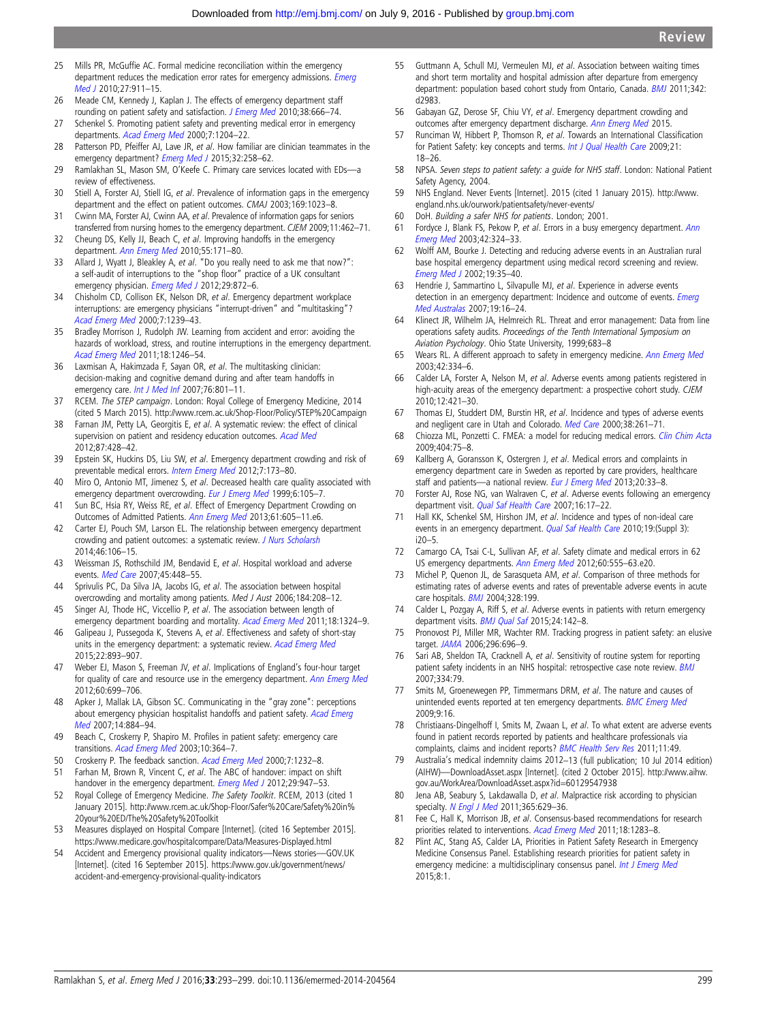- <span id="page-6-0"></span>25 Mills PR, McGuffie AC. Formal medicine reconciliation within the emergency department reduces the medication error rates for emergency admissions. [Emerg](http://dx.doi.org/10.1136/emj.2009.082255) [Med J](http://dx.doi.org/10.1136/emj.2009.082255) 2010;27:911–15.
- 26 Meade CM, Kennedy J, Kaplan J. The effects of emergency department staff rounding on patient safety and satisfaction. [J Emerg Med](http://dx.doi.org/10.1016/j.jemermed.2008.03.042) 2010;38:666-74.
- 27 Schenkel S. Promoting patient safety and preventing medical error in emergency departments. [Acad Emerg Med](http://dx.doi.org/10.1111/j.1553-2712.2000.tb00466.x) 2000;7:1204–22.
- 28 Patterson PD, Pfeiffer AJ, Lave JR, et al. How familiar are clinician teammates in the emergency department? [Emerg Med J](http://dx.doi.org/10.1136/emermed-2013-203199) 2015;32:258-62.
- 29 Ramlakhan SL, Mason SM, O'Keefe C. Primary care services located with EDs—a review of effectiveness.
- 30 Stiell A, Forster AJ, Stiell IG, et al. Prevalence of information gaps in the emergency department and the effect on patient outcomes. CMAJ 2003;169:1023–8.
- 31 Cwinn MA, Forster AJ, Cwinn AA, et al. Prevalence of information gaps for seniors transferred from nursing homes to the emergency department. CJEM 2009;11:462-71.
- 32 Cheung DS, Kelly JJ, Beach C, et al. Improving handoffs in the emergency department. [Ann Emerg Med](http://dx.doi.org/10.1016/j.annemergmed.2009.07.016) 2010;55:171–80.
- 33 Allard J, Wyatt J, Bleakley A, et al. "Do you really need to ask me that now?": a self-audit of interruptions to the "shop floor" practice of a UK consultant emergency physician. *[Emerg Med J](http://dx.doi.org/10.1136/emermed-2011-200218)* 2012;29:872-6.
- 34 Chisholm CD, Collison EK, Nelson DR, et al. Emergency department workplace interruptions: are emergency physicians "interrupt-driven" and "multitasking"? [Acad Emerg Med](http://dx.doi.org/10.1111/j.1553-2712.2000.tb00469.x) 2000;7:1239–43.
- 35 Bradley Morrison J, Rudolph JW. Learning from accident and error: avoiding the hazards of workload, stress, and routine interruptions in the emergency department. [Acad Emerg Med](http://dx.doi.org/10.1111/j.1553-2712.2011.01231.x) 2011;18:1246–54.
- 36 Laxmisan A, Hakimzada F, Sayan OR, et al. The multitasking clinician: decision-making and cognitive demand during and after team handoffs in emergency care. [Int J Med Inf](http://dx.doi.org/10.1016/j.ijmedinf.2006.09.019) 2007;76:801-11.
- 37 RCEM. The STEP campaign. London: Royal College of Emergency Medicine, 2014 (cited 5 March 2015).<http://www.rcem.ac.uk/Shop-Floor/Policy/STEP%20Campaign>
- 38 Farnan JM, Petty LA, Georgitis E, et al. A systematic review: the effect of clinical supervision on patient and residency education outcomes. [Acad Med](http://dx.doi.org/10.1097/ACM.0b013e31824822cc) 2012;87:428–42.
- 39 Epstein SK, Huckins DS, Liu SW, et al. Emergency department crowding and risk of preventable medical errors. [Intern Emerg Med](http://dx.doi.org/10.1007/s11739-011-0702-8) 2012;7:173–80.
- 40 Miro O, Antonio MT, Jimenez S, et al. Decreased health care quality associated with emergency department overcrowding. [Eur J Emerg Med](http://dx.doi.org/10.1097/00063110-199906000-00003) 1999;6:105-7.
- 41 Sun BC, Hsia RY, Weiss RE, et al. Effect of Emergency Department Crowding on Outcomes of Admitted Patients. [Ann Emerg Med](http://dx.doi.org/10.1016/j.annemergmed.2012.10.026) 2013;61:605–11.e6.
- 42 Carter EJ, Pouch SM, Larson EL. The relationship between emergency department crowding and patient outcomes: a systematic review. [J Nurs Scholarsh](http://dx.doi.org/10.1111/jnu.12055) 2014;46:106–15.
- 43 Weissman JS, Rothschild JM, Bendavid E, et al. Hospital workload and adverse events. [Med Care](http://dx.doi.org/10.1097/01.mlr.0000257231.86368.09) 2007;45:448–55.
- 44 Sprivulis PC, Da Silva JA, Jacobs IG, et al. The association between hospital overcrowding and mortality among patients. Med J Aust 2006;184:208–12.
- 45 Singer AJ, Thode HC, Viccellio P, et al. The association between length of emergency department boarding and mortality. [Acad Emerg Med](http://dx.doi.org/10.1111/j.1553-2712.2011.01236.x) 2011;18:1324-9.
- 46 Galipeau J, Pussegoda K, Stevens A, et al. Effectiveness and safety of short-stay units in the emergency department: a systematic review. [Acad Emerg Med](http://dx.doi.org/10.1111/acem.12730) 2015;22:893–907.
- 47 Weber EJ, Mason S, Freeman JV, et al. Implications of England's four-hour target for quality of care and resource use in the emergency department. [Ann Emerg Med](http://dx.doi.org/10.1016/j.annemergmed.2012.08.009) 2012;60:699–706.
- 48 Apker J, Mallak LA, Gibson SC. Communicating in the "gray zone": perceptions about emergency physician hospitalist handoffs and patient safety. [Acad Emerg](http://dx.doi.org/10.1197/j.aem.2007.06.037) [Med](http://dx.doi.org/10.1197/j.aem.2007.06.037) 2007;14:884–94.
- 49 Beach C, Croskerry P, Shapiro M. Profiles in patient safety: emergency care transitions. [Acad Emerg Med](http://dx.doi.org/10.1111/j.1553-2712.2003.tb01350.x) 2003;10:364–7.
- 50 Croskerry P. The feedback sanction. [Acad Emerg Med](http://dx.doi.org/10.1111/j.1553-2712.2000.tb00468.x) 2000;7:1232–8.
- 51 Farhan M, Brown R, Vincent C, et al. The ABC of handover: impact on shift handover in the emergency department. [Emerg Med J](http://dx.doi.org/10.1136/emermed-2011-200201) 2012;29:947-53.
- 52 Royal College of Emergency Medicine. The Safety Toolkit. RCEM, 2013 (cited 1 January 2015]. [http://www.rcem.ac.uk/Shop-Floor/Safer%20Care/Safety%20in%](http://www.rcem.ac.uk/Shop-Floor/Safer%20Care/Safety%20in%20your%20ED/The%20Safety%20Toolkit) [20your%20ED/The%20Safety%20Toolkit](http://www.rcem.ac.uk/Shop-Floor/Safer%20Care/Safety%20in%20your%20ED/The%20Safety%20Toolkit)
- 53 Measures displayed on Hospital Compare [Internet]. (cited 16 September 2015]. <https://www.medicare.gov/hospitalcompare/Data/Measures-Displayed.html>
- 54 Accident and Emergency provisional quality indicators—News stories—GOV.UK [Internet]. (cited 16 September 2015]. [https://www.gov.uk/government/news/](https://www.gov.uk/government/news/accident-and-emergency-provisional-quality-indicators) [accident-and-emergency-provisional-quality-indicators](https://www.gov.uk/government/news/accident-and-emergency-provisional-quality-indicators)
- 55 Guttmann A, Schull MJ, Vermeulen MJ, et al. Association between waiting times and short term mortality and hospital admission after departure from emergency department: population based cohort study from Ontario, Canada. [BMJ](http://dx.doi.org/10.1136/bmj.d2983) 2011;342: d2983.
- 56 Gabayan GZ, Derose SF, Chiu VY, et al. Emergency department crowding and outcomes after emergency department discharge. [Ann Emerg Med](http://dx.doi.org/10.1016/j.annemergmed.2015.04.009) 2015.
- 57 Runciman W, Hibbert P, Thomson R, et al. Towards an International Classification for Patient Safety: key concepts and terms. [Int J Qual Health Care](http://dx.doi.org/10.1093/intqhc/mzn057) 2009;21: 18–26.
- 58 NPSA. Seven steps to patient safety: a quide for NHS staff. London: National Patient Safety Agency, 2004.
- 59 NHS England. Never Events [Internet]. 2015 (cited 1 January 2015). [http://www.](http://www.england.nhs.uk/ourwork/patientsafety/never-events/) [england.nhs.uk/ourwork/patientsafety/never-events/](http://www.england.nhs.uk/ourwork/patientsafety/never-events/)
- 60 DoH. Building a safer NHS for patients. London; 2001.
- 61 Fordyce J, Blank FS, Pekow P, et al. Errors in a busy emergency department. [Ann](http://dx.doi.org/10.1016/S0196-0644(03)00398-6) [Emerg Med](http://dx.doi.org/10.1016/S0196-0644(03)00398-6) 2003;42:324–33.
- 62 Wolff AM, Bourke J. Detecting and reducing adverse events in an Australian rural base hospital emergency department using medical record screening and review. [Emerg Med J](http://dx.doi.org/10.1136/emj.19.1.35) 2002;19:35–40.
- 63 Hendrie J, Sammartino L, Silvapulle MJ, et al. Experience in adverse events detection in an emergency department: Incidence and outcome of events. *[Emerg](http://dx.doi.org/10.1111/j.1742-6723.2006.00896.x)* [Med Australas](http://dx.doi.org/10.1111/j.1742-6723.2006.00896.x) 2007;19:16–24.
- 64 Klinect JR, Wilhelm JA, Helmreich RL. Threat and error management: Data from line operations safety audits. Proceedings of the Tenth International Symposium on Aviation Psychology. Ohio State University, 1999;683–8
- 65 Wears RL. A different approach to safety in emergency medicine. [Ann Emerg Med](http://dx.doi.org/10.1016/S0196-0644(03)00515-8) 2003;42:334–6.
- 66 Calder LA, Forster A, Nelson M, et al. Adverse events among patients registered in high-acuity areas of the emergency department: a prospective cohort study. CJEM 2010;12:421–30.
- 67 Thomas EJ, Studdert DM, Burstin HR, et al. Incidence and types of adverse events and negligent care in Utah and Colorado. [Med Care](http://dx.doi.org/10.1097/00005650-200003000-00003) 2000;38:261-71.
- 68 Chiozza ML, Ponzetti C. FMEA: a model for reducing medical errors. [Clin Chim Acta](http://dx.doi.org/10.1016/j.cca.2009.03.015) 2009;404:75–8.
- 69 Kallberg A, Goransson K, Ostergren J, et al. Medical errors and complaints in emergency department care in Sweden as reported by care providers, healthcare staff and patients-a national review. [Eur J Emerg Med](http://dx.doi.org/10.1097/MEJ.0b013e32834fe917) 2013;20:33-8.
- 70 Forster AJ, Rose NG, van Walraven C, et al. Adverse events following an emergency department visit. [Qual Saf Health Care](http://dx.doi.org/10.1136/qshc.2005.017384) 2007;16:17-22.
- 71 Hall KK, Schenkel SM, Hirshon JM, et al. Incidence and types of non-ideal care events in an emergency department. *[Qual Saf Health Care](http://dx.doi.org/10.1136/qshc.2010.040246)* 2010;19:(Suppl 3): i20–5.
- 72 Camargo CA, Tsai C-L, Sullivan AF, et al. Safety climate and medical errors in 62 US emergency departments. [Ann Emerg Med](http://dx.doi.org/10.1016/j.annemergmed.2012.02.018) 2012;60:555–63.e20.
- 73 Michel P, Quenon JL, de Sarasqueta AM, et al. Comparison of three methods for estimating rates of adverse events and rates of preventable adverse events in acute care hospitals. **[BMJ](http://dx.doi.org/10.1136/bmj.328.7433.199)** 2004;328:199.
- 74 Calder L, Pozgay A, Riff S, et al. Adverse events in patients with return emergency department visits. **[BMJ Qual Saf](http://dx.doi.org/10.1136/bmjqs-2014-003194) 2015;24:142-8.**
- 75 Pronovost PJ, Miller MR, Wachter RM. Tracking progress in patient safety: an elusive target. [JAMA](http://dx.doi.org/10.1001/jama.296.6.696) 2006:296:696-9.
- 76 Sari AB, Sheldon TA, Cracknell A, et al. Sensitivity of routine system for reporting patient safety incidents in an NHS hospital: retrospective case note review. [BMJ](http://dx.doi.org/10.1136/bmj.39031.507153.AE) 2007;334:79.
- 77 Smits M, Groenewegen PP, Timmermans DRM, et al. The nature and causes of unintended events reported at ten emergency departments. [BMC Emerg Med](http://dx.doi.org/10.1186/1471-227X-9-16) 2009;9:16.
- 78 Christiaans-Dingelhoff I, Smits M, Zwaan L, et al. To what extent are adverse events found in patient records reported by patients and healthcare professionals via complaints, claims and incident reports? [BMC Health Serv Res](http://dx.doi.org/10.1186/1472-6963-11-49) 2011;11:49.
- 79 Australia's medical indemnity claims 2012–13 (full publication; 10 Jul 2014 edition) (AIHW)—DownloadAsset.aspx [Internet]. (cited 2 October 2015]. [http://www.aihw.](http://www.aihw.gov.au/WorkArea/DownloadAsset.aspx?id=60129547938) [gov.au/WorkArea/DownloadAsset.aspx?id=60129547938](http://www.aihw.gov.au/WorkArea/DownloadAsset.aspx?id=60129547938)
- 80 Jena AB, Seabury S, Lakdawalla D, et al. Malpractice risk according to physician specialty. [N Engl J Med](http://dx.doi.org/10.1056/NEJMsa1012370) 2011;365:629-36.
- 81 Fee C, Hall K, Morrison JB, et al. Consensus-based recommendations for research priorities related to interventions. [Acad Emerg Med](http://dx.doi.org/10.1111/j.1553-2712.2011.01234.x) 2011;18:1283-8.
- 82 Plint AC, Stang AS, Calder LA, Priorities in Patient Safety Research in Emergency Medicine Consensus Panel. Establishing research priorities for patient safety in emergency medicine: a multidisciplinary consensus panel. [Int J Emerg Med](http://dx.doi.org/10.1186/s12245-014-0049-9) 2015;8:1.